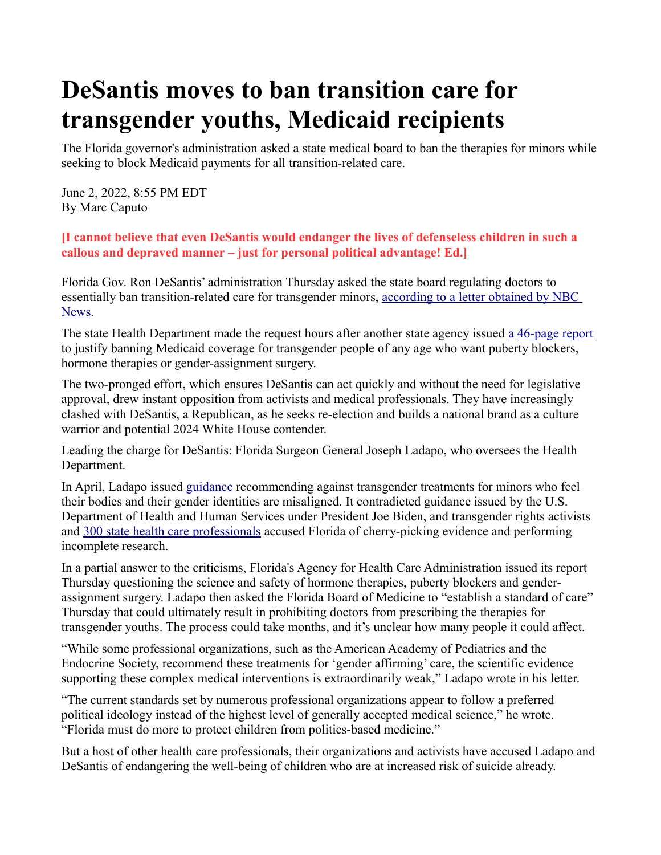## **DeSantis moves to ban transition care for transgender youths, Medicaid recipients**

The Florida governor's administration asked a state medical board to ban the therapies for minors while seeking to block Medicaid payments for all transition-related care.

June 2, 2022, 8:55 PM EDT By Marc Caputo

**[I cannot believe that even DeSantis would endanger the lives of defenseless children in such a callous and depraved manner – just for personal political advantage! Ed.]**

Florida Gov. Ron DeSantis' administration Thursday asked the state board regulating doctors to essentially ban transition-related care for transgender minors, according to a letter obtained by NBC [News.](https://www.documentcloud.org/documents/22050967-board-letter)

The state Health Department made the request hours after another state agency issued [a](https://www.ahca.myflorida.com/letkidsbekids/docs/AHCA_GAPMS_June_2022_Report.pdf?utm_source=iContact&utm_medium=email&utm_campaign=AHCA+Communications&utm_content=) [46-page report](https://www.ahca.myflorida.com/letkidsbekids/docs/AHCA_GAPMS_June_2022_Report.pdf?utm_source=iContact&utm_medium=email&utm_campaign=AHCA+Communications&utm_content=) to justify banning Medicaid coverage for transgender people of any age who want puberty blockers, hormone therapies or gender-assignment surgery.

The two-pronged effort, which ensures DeSantis can act quickly and without the need for legislative approval, drew instant opposition from activists and medical professionals. They have increasingly clashed with DeSantis, a Republican, as he seeks re-election and builds a national brand as a culture warrior and potential 2024 White House contender.

Leading the charge for DeSantis: Florida Surgeon General Joseph Ladapo, who oversees the Health Department.

In April, Ladapo issued [guidance](https://www.floridahealth.gov/newsroom/2022/04/20220420-gender-dysphoria-press-release.pr.html) recommending against transgender treatments for minors who feel their bodies and their gender identities are misaligned. It contradicted guidance issued by the U.S. Department of Health and Human Services under President Joe Biden, and transgender rights activists and [300 state health care professionals](https://www.tampabay.com/opinion/2022/04/27/we-300-florida-health-care-professionals-say-the-state-gets-transgender-guidance-wrong-open-letter/) accused Florida of cherry-picking evidence and performing incomplete research.

In a partial answer to the criticisms, Florida's Agency for Health Care Administration issued its report Thursday questioning the science and safety of hormone therapies, puberty blockers and genderassignment surgery. Ladapo then asked the Florida Board of Medicine to "establish a standard of care" Thursday that could ultimately result in prohibiting doctors from prescribing the therapies for transgender youths. The process could take months, and it's unclear how many people it could affect.

"While some professional organizations, such as the American Academy of Pediatrics and the Endocrine Society, recommend these treatments for 'gender affirming' care, the scientific evidence supporting these complex medical interventions is extraordinarily weak," Ladapo wrote in his letter.

"The current standards set by numerous professional organizations appear to follow a preferred political ideology instead of the highest level of generally accepted medical science," he wrote. "Florida must do more to protect children from politics-based medicine."

But a host of other health care professionals, their organizations and activists have accused Ladapo and DeSantis of endangering the well-being of children who are at increased risk of suicide already.